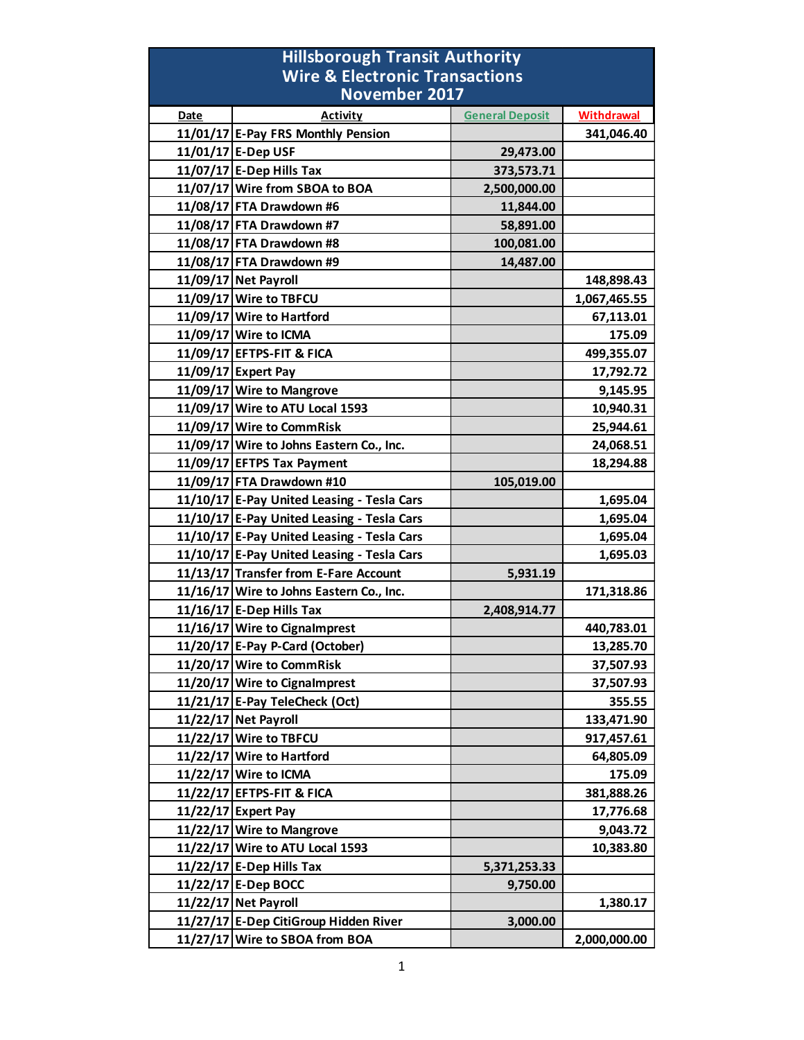| <b>Hillsborough Transit Authority</b>                             |                                            |                        |                   |
|-------------------------------------------------------------------|--------------------------------------------|------------------------|-------------------|
| <b>Wire &amp; Electronic Transactions</b><br><b>November 2017</b> |                                            |                        |                   |
| Date                                                              | <b>Activity</b>                            | <b>General Deposit</b> | <b>Withdrawal</b> |
|                                                                   | 11/01/17 E-Pay FRS Monthly Pension         |                        | 341,046.40        |
|                                                                   | 11/01/17 E-Dep USF                         | 29,473.00              |                   |
|                                                                   | 11/07/17 E-Dep Hills Tax                   | 373,573.71             |                   |
|                                                                   | 11/07/17 Wire from SBOA to BOA             | 2,500,000.00           |                   |
|                                                                   | 11/08/17 FTA Drawdown #6                   | 11,844.00              |                   |
|                                                                   | 11/08/17 FTA Drawdown #7                   | 58,891.00              |                   |
|                                                                   | 11/08/17 FTA Drawdown #8                   | 100,081.00             |                   |
|                                                                   | 11/08/17 FTA Drawdown #9                   | 14,487.00              |                   |
|                                                                   | 11/09/17 Net Payroll                       |                        | 148,898.43        |
|                                                                   | 11/09/17 Wire to TBFCU                     |                        | 1,067,465.55      |
|                                                                   | 11/09/17 Wire to Hartford                  |                        | 67,113.01         |
|                                                                   | 11/09/17 Wire to ICMA                      |                        | 175.09            |
|                                                                   | 11/09/17 EFTPS-FIT & FICA                  |                        | 499,355.07        |
|                                                                   | 11/09/17 Expert Pay                        |                        | 17,792.72         |
|                                                                   | 11/09/17 Wire to Mangrove                  |                        | 9,145.95          |
|                                                                   | 11/09/17 Wire to ATU Local 1593            |                        | 10,940.31         |
|                                                                   | 11/09/17 Wire to CommRisk                  |                        | 25,944.61         |
|                                                                   | 11/09/17 Wire to Johns Eastern Co., Inc.   |                        | 24,068.51         |
|                                                                   | 11/09/17 EFTPS Tax Payment                 |                        | 18,294.88         |
|                                                                   | 11/09/17 FTA Drawdown #10                  | 105,019.00             |                   |
|                                                                   | 11/10/17 E-Pay United Leasing - Tesla Cars |                        | 1,695.04          |
|                                                                   | 11/10/17 E-Pay United Leasing - Tesla Cars |                        | 1,695.04          |
|                                                                   | 11/10/17 E-Pay United Leasing - Tesla Cars |                        | 1,695.04          |
|                                                                   | 11/10/17 E-Pay United Leasing - Tesla Cars |                        | 1,695.03          |
|                                                                   | 11/13/17 Transfer from E-Fare Account      | 5,931.19               |                   |
|                                                                   | 11/16/17 Wire to Johns Eastern Co., Inc.   |                        | 171,318.86        |
|                                                                   | $11/16/17$ E-Dep Hills Tax                 | 2,408,914.77           |                   |
|                                                                   | 11/16/17 Wire to Cignalmprest              |                        | 440,783.01        |
|                                                                   | 11/20/17 E-Pay P-Card (October)            |                        | 13,285.70         |
|                                                                   | 11/20/17 Wire to CommRisk                  |                        | 37,507.93         |
|                                                                   | 11/20/17 Wire to Cignalmprest              |                        | 37,507.93         |
|                                                                   | 11/21/17 E-Pay TeleCheck (Oct)             |                        | 355.55            |
|                                                                   | 11/22/17 Net Payroll                       |                        | 133,471.90        |
|                                                                   | 11/22/17 Wire to TBFCU                     |                        | 917,457.61        |
|                                                                   | 11/22/17 Wire to Hartford                  |                        | 64,805.09         |
|                                                                   | 11/22/17 Wire to ICMA                      |                        | 175.09            |
|                                                                   | 11/22/17 EFTPS-FIT & FICA                  |                        | 381,888.26        |
|                                                                   | 11/22/17 Expert Pay                        |                        | 17,776.68         |
|                                                                   | 11/22/17 Wire to Mangrove                  |                        | 9,043.72          |
|                                                                   | 11/22/17 Wire to ATU Local 1593            |                        | 10,383.80         |
|                                                                   | 11/22/17 E-Dep Hills Tax                   | 5,371,253.33           |                   |
|                                                                   | 11/22/17 E-Dep BOCC                        | 9,750.00               |                   |
|                                                                   | 11/22/17 Net Payroll                       |                        | 1,380.17          |
|                                                                   | 11/27/17 E-Dep CitiGroup Hidden River      | 3,000.00               |                   |
|                                                                   | 11/27/17 Wire to SBOA from BOA             |                        | 2,000,000.00      |